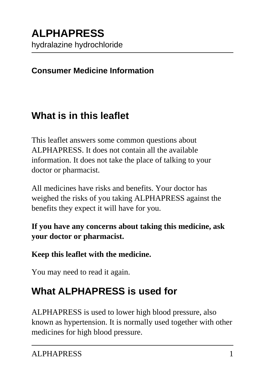#### **Consumer Medicine Information**

## **What is in this leaflet**

This leaflet answers some common questions about ALPHAPRESS. It does not contain all the available information. It does not take the place of talking to your doctor or pharmacist.

All medicines have risks and benefits. Your doctor has weighed the risks of you taking ALPHAPRESS against the benefits they expect it will have for you.

**If you have any concerns about taking this medicine, ask your doctor or pharmacist.**

#### **Keep this leaflet with the medicine.**

You may need to read it again.

# **What ALPHAPRESS is used for**

ALPHAPRESS is used to lower high blood pressure, also known as hypertension. It is normally used together with other medicines for high blood pressure.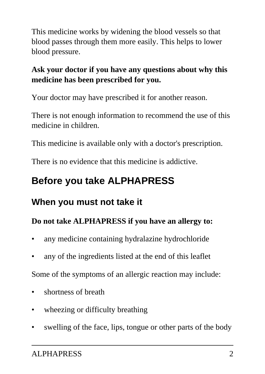This medicine works by widening the blood vessels so that blood passes through them more easily. This helps to lower blood pressure.

### **Ask your doctor if you have any questions about why this medicine has been prescribed for you.**

Your doctor may have prescribed it for another reason.

There is not enough information to recommend the use of this medicine in children.

This medicine is available only with a doctor's prescription.

There is no evidence that this medicine is addictive.

# **Before you take ALPHAPRESS**

### **When you must not take it**

#### **Do not take ALPHAPRESS if you have an allergy to:**

- any medicine containing hydralazine hydrochloride
- any of the ingredients listed at the end of this leaflet

Some of the symptoms of an allergic reaction may include:

- shortness of breath
- wheezing or difficulty breathing
- swelling of the face, lips, tongue or other parts of the body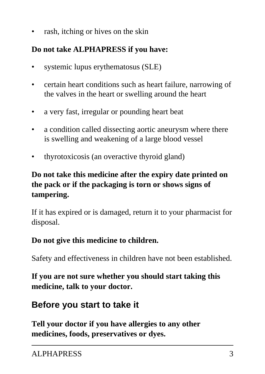rash, itching or hives on the skin

### **Do not take ALPHAPRESS if you have:**

- systemic lupus erythematosus (SLE)
- certain heart conditions such as heart failure, narrowing of the valves in the heart or swelling around the heart
- a very fast, irregular or pounding heart beat
- a condition called dissecting aortic aneurysm where there is swelling and weakening of a large blood vessel
- thyrotoxicosis (an overactive thyroid gland)

### **Do not take this medicine after the expiry date printed on the pack or if the packaging is torn or shows signs of tampering.**

If it has expired or is damaged, return it to your pharmacist for disposal.

#### **Do not give this medicine to children.**

Safety and effectiveness in children have not been established.

**If you are not sure whether you should start taking this medicine, talk to your doctor.**

### **Before you start to take it**

**Tell your doctor if you have allergies to any other medicines, foods, preservatives or dyes.**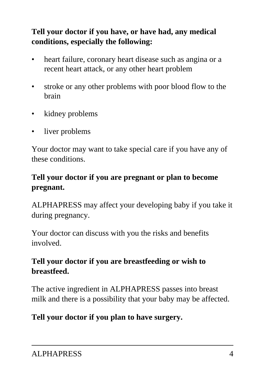### **Tell your doctor if you have, or have had, any medical conditions, especially the following:**

- heart failure, coronary heart disease such as angina or a recent heart attack, or any other heart problem
- stroke or any other problems with poor blood flow to the brain
- kidney problems
- liver problems

Your doctor may want to take special care if you have any of these conditions.

### **Tell your doctor if you are pregnant or plan to become pregnant.**

ALPHAPRESS may affect your developing baby if you take it during pregnancy.

Your doctor can discuss with you the risks and benefits involved.

### **Tell your doctor if you are breastfeeding or wish to breastfeed.**

The active ingredient in ALPHAPRESS passes into breast milk and there is a possibility that your baby may be affected.

### **Tell your doctor if you plan to have surgery.**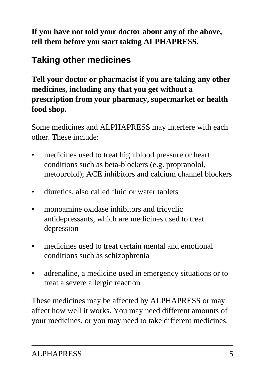**If you have not told your doctor about any of the above, tell them before you start taking ALPHAPRESS.**

## **Taking other medicines**

**Tell your doctor or pharmacist if you are taking any other medicines, including any that you get without a prescription from your pharmacy, supermarket or health food shop.**

Some medicines and ALPHAPRESS may interfere with each other. These include:

- medicines used to treat high blood pressure or heart conditions such as beta-blockers (e.g. propranolol, metoprolol); ACE inhibitors and calcium channel blockers
- diuretics, also called fluid or water tablets
- monoamine oxidase inhibitors and tricyclic antidepressants, which are medicines used to treat depression
- medicines used to treat certain mental and emotional conditions such as schizophrenia
- adrenaline, a medicine used in emergency situations or to treat a severe allergic reaction

These medicines may be affected by ALPHAPRESS or may affect how well it works. You may need different amounts of your medicines, or you may need to take different medicines.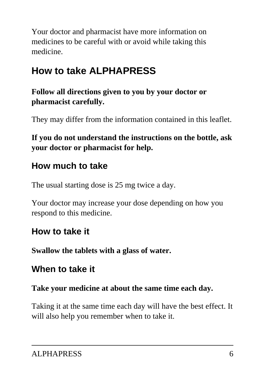Your doctor and pharmacist have more information on medicines to be careful with or avoid while taking this medicine.

# **How to take ALPHAPRESS**

**Follow all directions given to you by your doctor or pharmacist carefully.**

They may differ from the information contained in this leaflet.

**If you do not understand the instructions on the bottle, ask your doctor or pharmacist for help.**

## **How much to take**

The usual starting dose is 25 mg twice a day.

Your doctor may increase your dose depending on how you respond to this medicine.

### **How to take it**

**Swallow the tablets with a glass of water.**

## **When to take it**

**Take your medicine at about the same time each day.**

Taking it at the same time each day will have the best effect. It will also help you remember when to take it.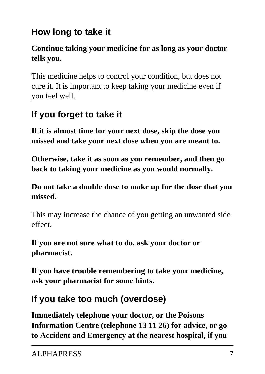# **How long to take it**

### **Continue taking your medicine for as long as your doctor tells you.**

This medicine helps to control your condition, but does not cure it. It is important to keep taking your medicine even if you feel well.

# **If you forget to take it**

**If it is almost time for your next dose, skip the dose you missed and take your next dose when you are meant to.**

**Otherwise, take it as soon as you remember, and then go back to taking your medicine as you would normally.**

**Do not take a double dose to make up for the dose that you missed.**

This may increase the chance of you getting an unwanted side effect.

**If you are not sure what to do, ask your doctor or pharmacist.**

**If you have trouble remembering to take your medicine, ask your pharmacist for some hints.**

# **If you take too much (overdose)**

**Immediately telephone your doctor, or the Poisons Information Centre (telephone 13 11 26) for advice, or go to Accident and Emergency at the nearest hospital, if you**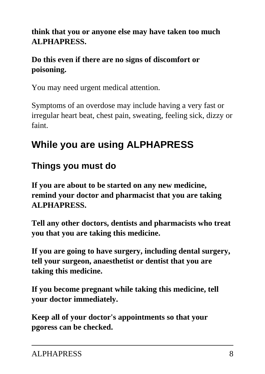### **think that you or anyone else may have taken too much ALPHAPRESS.**

### **Do this even if there are no signs of discomfort or poisoning.**

You may need urgent medical attention.

Symptoms of an overdose may include having a very fast or irregular heart beat, chest pain, sweating, feeling sick, dizzy or faint.

# **While you are using ALPHAPRESS**

## **Things you must do**

**If you are about to be started on any new medicine, remind your doctor and pharmacist that you are taking ALPHAPRESS.**

**Tell any other doctors, dentists and pharmacists who treat you that you are taking this medicine.**

**If you are going to have surgery, including dental surgery, tell your surgeon, anaesthetist or dentist that you are taking this medicine.**

**If you become pregnant while taking this medicine, tell your doctor immediately.**

**Keep all of your doctor's appointments so that your pgoress can be checked.**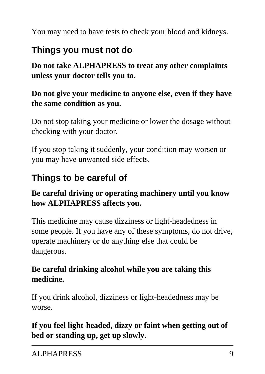You may need to have tests to check your blood and kidneys.

### **Things you must not do**

**Do not take ALPHAPRESS to treat any other complaints unless your doctor tells you to.**

#### **Do not give your medicine to anyone else, even if they have the same condition as you.**

Do not stop taking your medicine or lower the dosage without checking with your doctor.

If you stop taking it suddenly, your condition may worsen or you may have unwanted side effects.

## **Things to be careful of**

#### **Be careful driving or operating machinery until you know how ALPHAPRESS affects you.**

This medicine may cause dizziness or light-headedness in some people. If you have any of these symptoms, do not drive, operate machinery or do anything else that could be dangerous.

### **Be careful drinking alcohol while you are taking this medicine.**

If you drink alcohol, dizziness or light-headedness may be worse.

### **If you feel light-headed, dizzy or faint when getting out of bed or standing up, get up slowly.**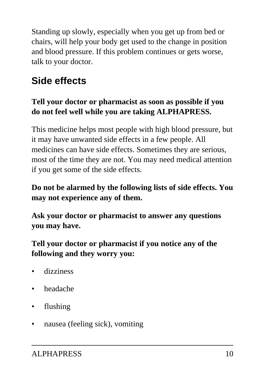Standing up slowly, especially when you get up from bed or chairs, will help your body get used to the change in position and blood pressure. If this problem continues or gets worse, talk to your doctor.

# **Side effects**

### **Tell your doctor or pharmacist as soon as possible if you do not feel well while you are taking ALPHAPRESS.**

This medicine helps most people with high blood pressure, but it may have unwanted side effects in a few people. All medicines can have side effects. Sometimes they are serious, most of the time they are not. You may need medical attention if you get some of the side effects.

### **Do not be alarmed by the following lists of side effects. You may not experience any of them.**

**Ask your doctor or pharmacist to answer any questions you may have.**

**Tell your doctor or pharmacist if you notice any of the following and they worry you:**

- dizziness
- headache
- flushing
- nausea (feeling sick), vomiting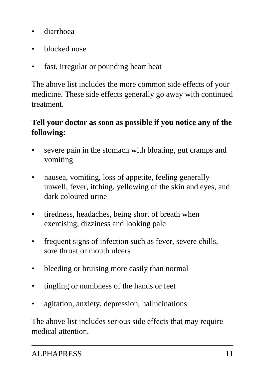- diarrhoea
- blocked nose
- fast, irregular or pounding heart beat

The above list includes the more common side effects of your medicine. These side effects generally go away with continued treatment.

#### **Tell your doctor as soon as possible if you notice any of the following:**

- severe pain in the stomach with bloating, gut cramps and vomiting
- nausea, vomiting, loss of appetite, feeling generally unwell, fever, itching, yellowing of the skin and eyes, and dark coloured urine
- tiredness, headaches, being short of breath when exercising, dizziness and looking pale
- frequent signs of infection such as fever, severe chills, sore throat or mouth ulcers
- bleeding or bruising more easily than normal
- tingling or numbness of the hands or feet
- agitation, anxiety, depression, hallucinations

The above list includes serious side effects that may require medical attention.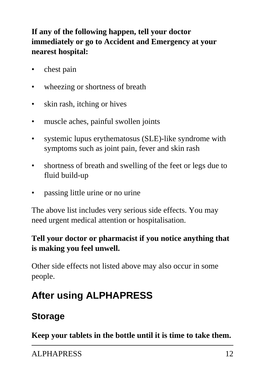### **If any of the following happen, tell your doctor immediately or go to Accident and Emergency at your nearest hospital:**

- chest pain
- wheezing or shortness of breath
- skin rash, itching or hives
- muscle aches, painful swollen joints
- systemic lupus erythematosus (SLE)-like syndrome with symptoms such as joint pain, fever and skin rash
- shortness of breath and swelling of the feet or legs due to fluid build-up
- passing little urine or no urine

The above list includes very serious side effects. You may need urgent medical attention or hospitalisation.

#### **Tell your doctor or pharmacist if you notice anything that is making you feel unwell.**

Other side effects not listed above may also occur in some people.

# **After using ALPHAPRESS**

## **Storage**

**Keep your tablets in the bottle until it is time to take them.**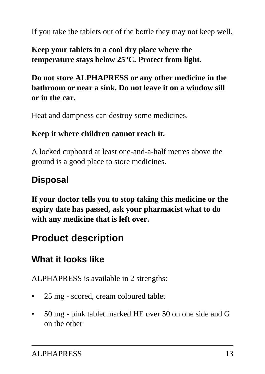If you take the tablets out of the bottle they may not keep well.

### **Keep your tablets in a cool dry place where the temperature stays below 25°C. Protect from light.**

### **Do not store ALPHAPRESS or any other medicine in the bathroom or near a sink. Do not leave it on a window sill or in the car.**

Heat and dampness can destroy some medicines.

#### **Keep it where children cannot reach it.**

A locked cupboard at least one-and-a-half metres above the ground is a good place to store medicines.

## **Disposal**

**If your doctor tells you to stop taking this medicine or the expiry date has passed, ask your pharmacist what to do with any medicine that is left over.**

# **Product description**

# **What it looks like**

ALPHAPRESS is available in 2 strengths:

- 25 mg scored, cream coloured tablet
- 50 mg pink tablet marked HE over 50 on one side and G on the other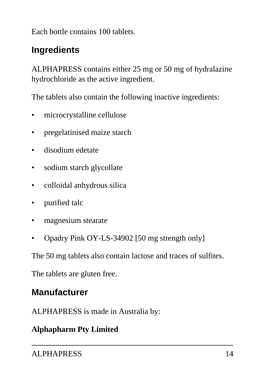Each bottle contains 100 tablets.

### **Ingredients**

ALPHAPRESS contains either 25 mg or 50 mg of hydralazine hydrochloride as the active ingredient.

The tablets also contain the following inactive ingredients:

- microcrystalline cellulose
- pregelatinised maize starch
- disodium edetate
- sodium starch glycollate
- colloidal anhydrous silica
- purified talc
- magnesium stearate
- Opadry Pink OY-LS-34902 [50 mg strength only]

The 50 mg tablets also contain lactose and traces of sulfites.

The tablets are gluten free.

### **Manufacturer**

ALPHAPRESS is made in Australia by:

#### **Alphapharm Pty Limited**

ALPHAPRESS 14